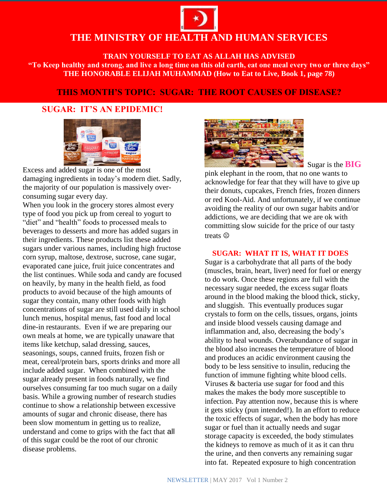# **THE MINISTRY OF HEALTH AND HUMAN SERVICES**

**TRAIN YOURSELF TO EAT AS ALLAH HAS ADVISED "To Keep healthy and strong, and live a long time on this old earth, eat one meal every two or three days" THE HONORABLE ELIJAH MUHAMMAD (How to Eat to Live, Book 1, page 78)**

## **THIS MONTH'S TOPIC: SUGAR: THE ROOT CAUSES OF DISEASE?**

## **SUGAR: IT'S AN EPIDEMIC!**



Excess and added sugar is one of the most damaging ingredients in today's modern diet. Sadly, the majority of our population is massively overconsuming sugar every day.

When you look in the grocery stores almost every type of food you pick up from cereal to yogurt to "diet" and "health" foods to processed meals to beverages to desserts and more has added sugars in their ingredients. These products list these added sugars under various names, including high fructose corn syrup, maltose, dextrose, sucrose, cane sugar, evaporated cane juice, fruit juice concentrates and the list continues. While soda and candy are focused on heavily, by many in the health field, as food products to avoid because of the high amounts of sugar they contain, many other foods with high concentrations of sugar are still used daily in school lunch menus, hospital menus, fast food and local dine-in restaurants. Even if we are preparing our own meals at home, we are typically unaware that items like ketchup, salad dressing, sauces, seasonings, soups, canned fruits, frozen fish or meat, cereal/protein bars, sports drinks and more all include added sugar. When combined with the sugar already present in foods naturally, we find ourselves consuming far too much sugar on a daily basis. While a growing number of research studies continue to show a relationship between excessive amounts of sugar and chronic disease, there has been slow momentum in getting us to realize, understand and come to grips with the fact that all of this sugar could be the root of our chronic disease problems.



### Sugar is the **BIG**

pink elephant in the room, that no one wants to acknowledge for fear that they will have to give up their donuts, cupcakes, French fries, frozen dinners or red Kool-Aid. And unfortunately, if we continue avoiding the reality of our own sugar habits and/or addictions, we are deciding that we are ok with committing slow suicide for the price of our tasty treats  $\odot$ 

#### **SUGAR: WHAT IT IS, WHAT IT DOES**

Sugar is a carbohydrate that all parts of the body (muscles, brain, heart, liver) need for fuel or energy to do work. Once these regions are full with the necessary sugar needed, the excess sugar floats around in the blood making the blood thick, sticky, and sluggish. This eventually produces sugar crystals to form on the cells, tissues, organs, joints and inside blood vessels causing damage and inflammation and, also, decreasing the body's ability to heal wounds. Overabundance of sugar in the blood also increases the temperature of blood and produces an acidic environment causing the body to be less sensitive to insulin, reducing the function of immune fighting white blood cells. Viruses & bacteria use sugar for food and this makes the makes the body more susceptible to infection. Pay attention now, because this is where it gets sticky (pun intended!). In an effort to reduce the toxic effects of sugar, when the body has more sugar or fuel than it actually needs and sugar storage capacity is exceeded, the body stimulates the kidneys to remove as much of it as it can thru the urine, and then converts any remaining sugar into fat. Repeated exposure to high concentration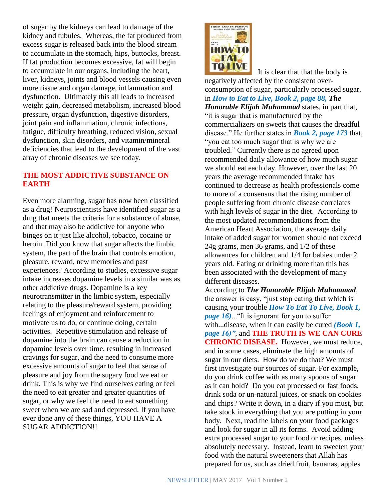of sugar by the kidneys can lead to damage of the kidney and tubules. Whereas, the fat produced from excess sugar is released back into the blood stream to accumulate in the stomach, hips, buttocks, breast. If fat production becomes excessive, fat will begin to accumulate in our organs, including the heart, liver, kidneys, joints and blood vessels causing even more tissue and organ damage, inflammation and dysfunction. Ultimately this all leads to increased weight gain, decreased metabolism, increased blood pressure, organ dysfunction, digestive disorders, joint pain and inflammation, chronic infections, fatigue, difficulty breathing, reduced vision, sexual dysfunction, skin disorders, and vitamin/mineral deficiencies that lead to the development of the vast array of chronic diseases we see today.

## **THE MOST ADDICTIVE SUBSTANCE ON EARTH**

Even more alarming, sugar has now been classified as a drug! Neuroscientists have identified sugar as a drug that meets the criteria for a substance of abuse, and that may also be addictive for anyone who binges on it just like alcohol, tobacco, cocaine or heroin. Did you know that sugar affects the limbic system, the part of the brain that controls emotion, pleasure, reward, new memories and past experiences? According to studies, excessive sugar intake increases dopamine levels in a similar was as other addictive drugs. Dopamine is a key neurotransmitter in the limbic system, especially relating to the pleasure/reward system, providing feelings of enjoyment and reinforcement to motivate us to do, or continue doing, certain activities. Repetitive stimulation and release of dopamine into the brain can cause a reduction in dopamine levels over time, resulting in increased cravings for sugar, and the need to consume more excessive amounts of sugar to feel that sense of pleasure and joy from the sugary food we eat or drink. This is why we find ourselves eating or feel the need to eat greater and greater quantities of sugar, or why we feel the need to eat something sweet when we are sad and depressed. If you have ever done any of these things, YOU HAVE A SUGAR ADDICTION!!



 It is clear that that the body is negatively affected by the consistent overconsumption of sugar, particularly processed sugar. in *How to Eat to Live, Book 2, page 88, The Honorable Elijah Muhammad* states, in part that, "it is sugar that is manufactured by the commercializers on sweets that causes the dreadful disease." He further states in *Book 2, page 173* that, "you eat too much sugar that is why we are troubled." Currently there is no agreed upon recommended daily allowance of how much sugar we should eat each day. However, over the last 20 years the average recommended intake has continued to decrease as health professionals come to more of a consensus that the rising number of people suffering from chronic disease correlates with high levels of sugar in the diet. According to the most updated recommendations from the American Heart Association, the average daily intake of added sugar for women should not exceed 24g grams, men 36 grams, and 1/2 of these allowances for children and 1/4 for babies under 2 years old. Eating or drinking more than this has been associated with the development of many different diseases.

According to *The Honorable Elijah Muhammad*, the answer is easy, "just stop eating that which is causing your trouble *How To Eat To Live, Book 1, page 16)*..."It is ignorant for you to suffer with...disease, when it can easily be cured *(Book 1, page 16)"*, and **THE TRUTH IS WE CAN CURE CHRONIC DISEASE.** However, we must reduce, and in some cases, eliminate the high amounts of sugar in our diets. How do we do that? We must first investigate our sources of sugar. For example, do you drink coffee with as many spoons of sugar as it can hold? Do you eat processed or fast foods, drink soda or un-natural juices, or snack on cookies and chips? Write it down, in a diary if you must, but take stock in everything that you are putting in your body. Next, read the labels on your food packages and look for sugar in all its forms. Avoid adding extra processed sugar to your food or recipes, unless absolutely necessary. Instead, learn to sweeten your food with the natural sweeteners that Allah has prepared for us, such as dried fruit, bananas, apples